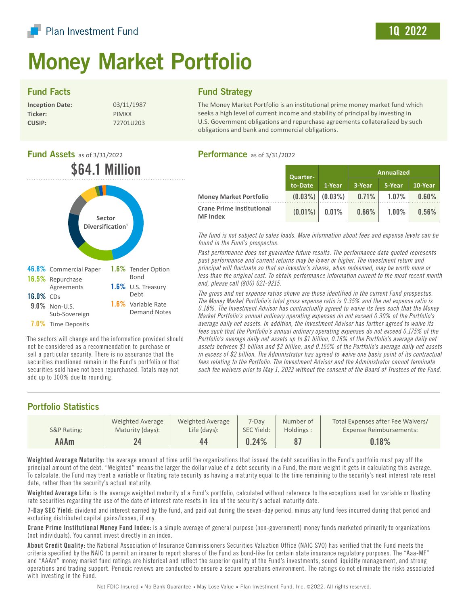

# Money Market Portfolio

#### Fund Facts

| <b>Inception Date:</b> |  |
|------------------------|--|
| Ticker:                |  |
| <b>CUSIP:</b>          |  |

**Inception Date:** 03/11/1987 **Ticker:** PIMXX **CUSIP:** 72701U203

#### Fund Strategy

The Money Market Portfolio is an institutional prime money market fund which seeks a high level of current income and stability of principal by investing in U.S. Government obligations and repurchase agreements collateralized by such obligations and bank and commercial obligations.

## **Fund Assets** as of 3/31/2022 \$64.1 Million



1 The sectors will change and the information provided should not be considered as a recommendation to purchase or sell a particular security. There is no assurance that the securities mentioned remain in the Fund's portfolio or that securities sold have not been repurchased. Totals may not add up to 100% due to rounding.

# Performance as of 3/31/2022

|                                                     | <b>Quarter-</b><br>to-Date |                       | Annualized |          |                        |
|-----------------------------------------------------|----------------------------|-----------------------|------------|----------|------------------------|
|                                                     |                            | 1-Year                | 3-Year     | 5-Year   | $10 - \overline{Year}$ |
| <b>Money Market Portfolio</b>                       |                            | $(0.03\%)$ $(0.03\%)$ | $0.71\%$   | $1.07\%$ | $0.60\%$               |
| <b>Crane Prime Institutional</b><br><b>MF</b> Index | $(0.01\%)$                 | $0.01\%$              | $0.66\%$   | $1.00\%$ | 0.56%                  |

*The fund is not subject to sales loads. More information about fees and expense levels can be found in the Fund's prospectus.*

*Past performance does not guarantee future results. The performance data quoted represents past performance and current returns may be lower or higher. The investment return and principal will fluctuate so that an investor's shares, when redeemed, may be worth more or less than the original cost. To obtain performance information current to the most recent month end, please call (800) 621-9215.* 

*The gross and net expense ratios shown are those identified in the current Fund prospectus. The Money Market Portfolio's total gross expense ratio is 0.35% and the net expense ratio is 0.18%. The Investment Advisor has contractually agreed to waive its fees such that the Money Market Portfolio's annual ordinary operating expenses do not exceed 0.30% of the Portfolio's average daily net assets. In addition, the Investment Advisor has further agreed to waive its fees such that the Portfolio's annual ordinary operating expenses do not exceed 0.175% of the Portfolio's average daily net assets up to \$1 billion, 0.16% of the Portfolio's average daily net assets between \$1 billion and \$2 billion, and 0.155% of the Portfolio's average daily net assets in excess of \$2 billion. The Administrator has agreed to waive one basis point of its contractual fees relating to the Portfolio. The Investment Advisor and the Administrator cannot terminate such fee waivers prior to May 1, 2022 without the consent of the Board of Trustees of the Fund.*

### Portfolio Statistics

|             | Weighted Average | Weighted Average | $7-Dav$    | Number of | Total Expenses after Fee Waivers/ |
|-------------|------------------|------------------|------------|-----------|-----------------------------------|
| S&P Rating: | Maturity (days): | Life (days):     | SEC Yield: | Holdings: | Expense Reimbursements:           |
| AAAm        |                  | 44               | 0.24%      |           | 0.18%                             |

Weighted Average Maturity: the average amount of time until the organizations that issued the debt securities in the Fund's portfolio must pay off the principal amount of the debt. "Weighted" means the larger the dollar value of a debt security in a Fund, the more weight it gets in calculating this average. To calculate, the Fund may treat a variable or floating rate security as having a maturity equal to the time remaining to the security's next interest rate reset date, rather than the security's actual maturity.

Weighted Average Life: is the average weighted maturity of a Fund's portfolio, calculated without reference to the exceptions used for variable or floating rate securities regarding the use of the date of interest rate resets in lieu of the security's actual maturity date.

7-Day SEC Yield: dividend and interest earned by the fund, and paid out during the seven-day period, minus any fund fees incurred during that period and excluding distributed capital gains/losses, if any.

Crane Prime Institutional Money Fund Index: is a simple average of general purpose (non-government) money funds marketed primarily to organizations (not individuals). You cannot invest directly in an index.

About Credit Quality: the National Association of Insurance Commissioners Securities Valuation Office (NAIC SVO) has verified that the Fund meets the criteria specified by the NAIC to permit an insurer to report shares of the Fund as bond-like for certain state insurance regulatory purposes. The "Aaa-MF" and "AAAm" money market fund ratings are historical and reflect the superior quality of the Fund's investments, sound liquidity management, and strong operations and trading support. Periodic reviews are conducted to ensure a secure operations environment. The ratings do not eliminate the risks associated with investing in the Fund.